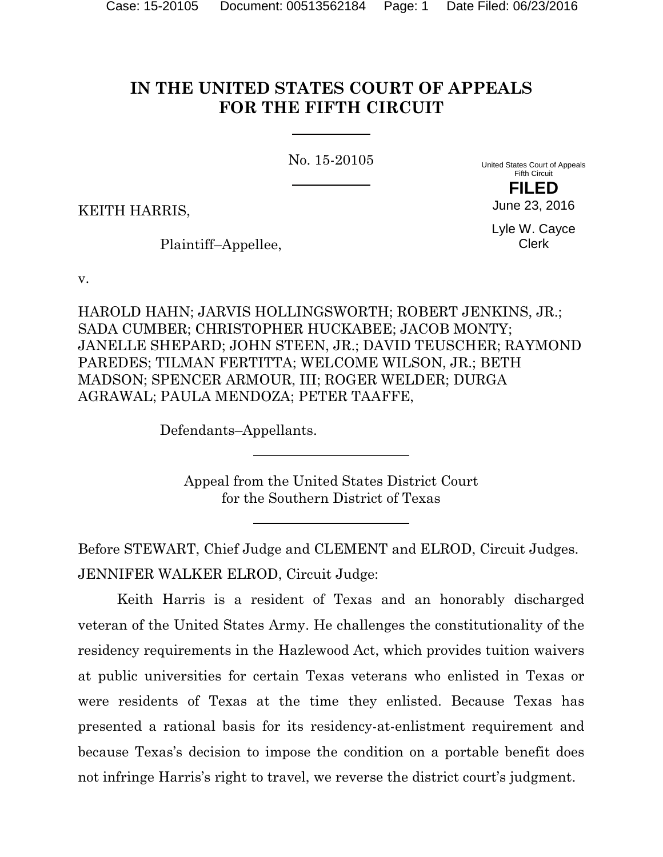# **IN THE UNITED STATES COURT OF APPEALS FOR THE FIFTH CIRCUIT**

No. 15-20105

United States Court of Appeals Fifth Circuit **FILED**

KEITH HARRIS,

Plaintiff–Appellee,

Lyle W. Cayce Clerk

June 23, 2016

v.

HAROLD HAHN; JARVIS HOLLINGSWORTH; ROBERT JENKINS, JR.; SADA CUMBER; CHRISTOPHER HUCKABEE; JACOB MONTY; JANELLE SHEPARD; JOHN STEEN, JR.; DAVID TEUSCHER; RAYMOND PAREDES; TILMAN FERTITTA; WELCOME WILSON, JR.; BETH MADSON; SPENCER ARMOUR, III; ROGER WELDER; DURGA AGRAWAL; PAULA MENDOZA; PETER TAAFFE,

Defendants–Appellants.

Appeal from the United States District Court for the Southern District of Texas

Before STEWART, Chief Judge and CLEMENT and ELROD, Circuit Judges. JENNIFER WALKER ELROD, Circuit Judge:

Keith Harris is a resident of Texas and an honorably discharged veteran of the United States Army. He challenges the constitutionality of the residency requirements in the Hazlewood Act, which provides tuition waivers at public universities for certain Texas veterans who enlisted in Texas or were residents of Texas at the time they enlisted. Because Texas has presented a rational basis for its residency-at-enlistment requirement and because Texas's decision to impose the condition on a portable benefit does not infringe Harris's right to travel, we reverse the district court's judgment.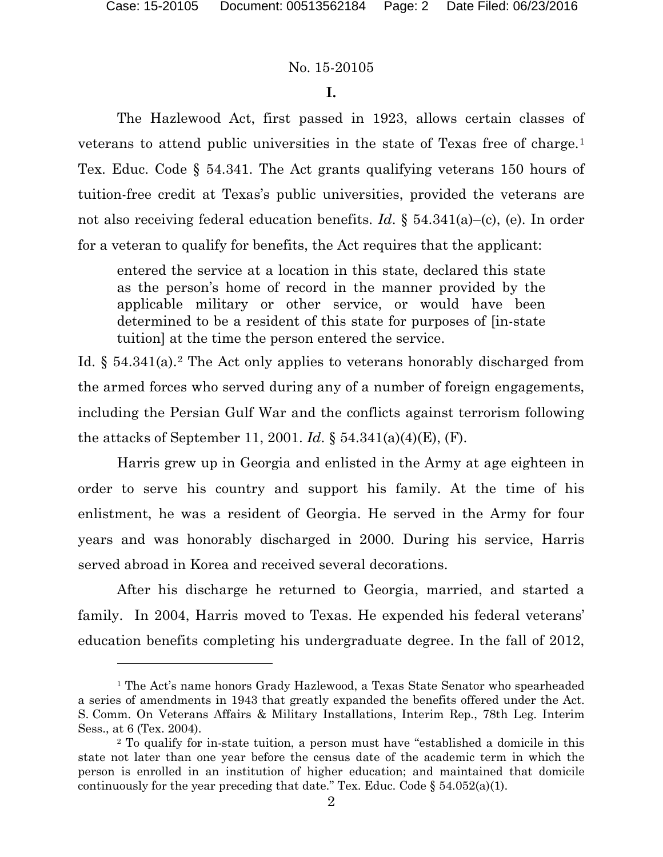### No. 15-20105

## **I.**

The Hazlewood Act, first passed in 1923, allows certain classes of veterans to attend public universities in the state of Texas free of charge.[1](#page-1-0) Tex. Educ. Code § 54.341. The Act grants qualifying veterans 150 hours of tuition-free credit at Texas's public universities, provided the veterans are not also receiving federal education benefits. *Id*. § 54.341(a)–(c), (e). In order for a veteran to qualify for benefits, the Act requires that the applicant:

entered the service at a location in this state, declared this state as the person's home of record in the manner provided by the applicable military or other service, or would have been determined to be a resident of this state for purposes of [in-state tuition] at the time the person entered the service.

Id.  $\S$  54.341(a).<sup>[2](#page-1-1)</sup> The Act only applies to veterans honorably discharged from the armed forces who served during any of a number of foreign engagements, including the Persian Gulf War and the conflicts against terrorism following the attacks of September 11, 2001. *Id*. § 54.341(a)(4)(E), (F).

Harris grew up in Georgia and enlisted in the Army at age eighteen in order to serve his country and support his family. At the time of his enlistment, he was a resident of Georgia. He served in the Army for four years and was honorably discharged in 2000. During his service, Harris served abroad in Korea and received several decorations.

After his discharge he returned to Georgia, married, and started a family. In 2004, Harris moved to Texas. He expended his federal veterans' education benefits completing his undergraduate degree. In the fall of 2012,

<span id="page-1-0"></span><sup>1</sup> The Act's name honors Grady Hazlewood, a Texas State Senator who spearheaded a series of amendments in 1943 that greatly expanded the benefits offered under the Act. S. Comm. On Veterans Affairs & Military Installations, Interim Rep., 78th Leg. Interim Sess., at 6 (Tex. 2004).

<span id="page-1-1"></span><sup>2</sup> To qualify for in-state tuition, a person must have "established a domicile in this state not later than one year before the census date of the academic term in which the person is enrolled in an institution of higher education; and maintained that domicile continuously for the year preceding that date." Tex. Educ. Code  $\S$  54.052(a)(1).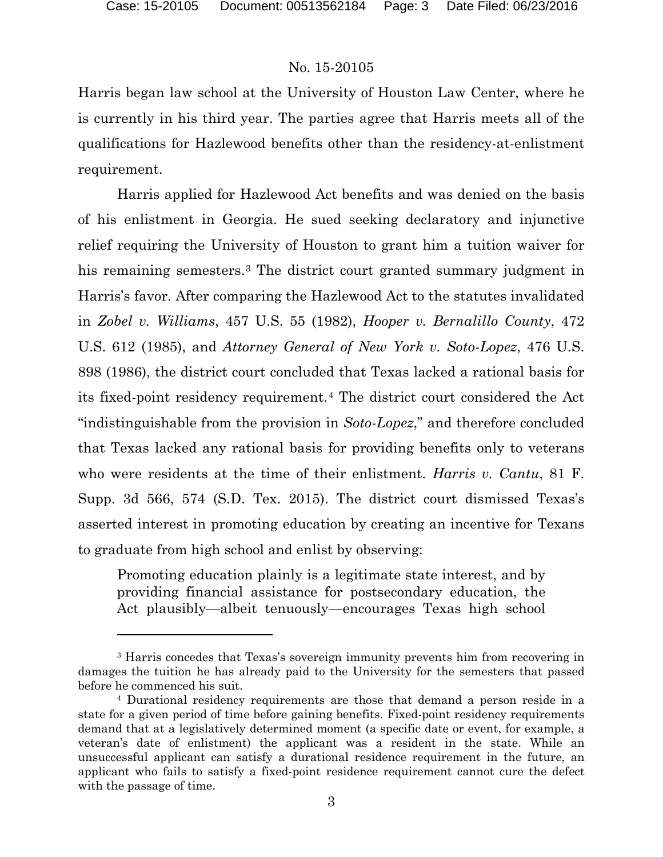## No. 15-20105

Harris began law school at the University of Houston Law Center, where he is currently in his third year. The parties agree that Harris meets all of the qualifications for Hazlewood benefits other than the residency-at-enlistment requirement.

Harris applied for Hazlewood Act benefits and was denied on the basis of his enlistment in Georgia. He sued seeking declaratory and injunctive relief requiring the University of Houston to grant him a tuition waiver for his remaining semesters.[3](#page-2-0) The district court granted summary judgment in Harris's favor. After comparing the Hazlewood Act to the statutes invalidated in *Zobel v. Williams*, 457 U.S. 55 (1982), *Hooper v. Bernalillo County*, 472 U.S. 612 (1985), and *Attorney General of New York v. Soto-Lopez*, 476 U.S. 898 (1986), the district court concluded that Texas lacked a rational basis for its fixed-point residency requirement.[4](#page-2-1) The district court considered the Act "indistinguishable from the provision in *Soto-Lopez*," and therefore concluded that Texas lacked any rational basis for providing benefits only to veterans who were residents at the time of their enlistment. *Harris v. Cantu*, 81 F. Supp. 3d 566, 574 (S.D. Tex. 2015). The district court dismissed Texas's asserted interest in promoting education by creating an incentive for Texans to graduate from high school and enlist by observing:

Promoting education plainly is a legitimate state interest, and by providing financial assistance for postsecondary education, the Act plausibly—albeit tenuously—encourages Texas high school

<span id="page-2-0"></span><sup>3</sup> Harris concedes that Texas's sovereign immunity prevents him from recovering in damages the tuition he has already paid to the University for the semesters that passed before he commenced his suit.

<span id="page-2-1"></span><sup>4</sup> Durational residency requirements are those that demand a person reside in a state for a given period of time before gaining benefits. Fixed-point residency requirements demand that at a legislatively determined moment (a specific date or event, for example, a veteran's date of enlistment) the applicant was a resident in the state. While an unsuccessful applicant can satisfy a durational residence requirement in the future, an applicant who fails to satisfy a fixed-point residence requirement cannot cure the defect with the passage of time.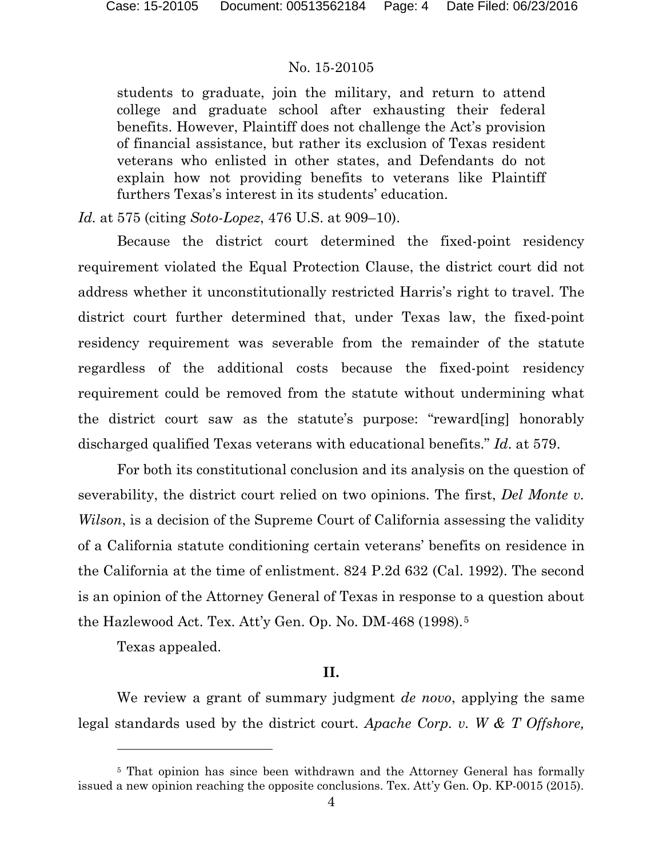students to graduate, join the military, and return to attend college and graduate school after exhausting their federal benefits. However, Plaintiff does not challenge the Act's provision of financial assistance, but rather its exclusion of Texas resident veterans who enlisted in other states, and Defendants do not explain how not providing benefits to veterans like Plaintiff furthers Texas's interest in its students' education.

*Id.* at 575 (citing *Soto-Lopez*, 476 U.S. at 909–10).

Because the district court determined the fixed-point residency requirement violated the Equal Protection Clause, the district court did not address whether it unconstitutionally restricted Harris's right to travel. The district court further determined that, under Texas law, the fixed-point residency requirement was severable from the remainder of the statute regardless of the additional costs because the fixed-point residency requirement could be removed from the statute without undermining what the district court saw as the statute's purpose: "reward[ing] honorably discharged qualified Texas veterans with educational benefits." *Id*. at 579.

For both its constitutional conclusion and its analysis on the question of severability, the district court relied on two opinions. The first, *Del Monte v. Wilson*, is a decision of the Supreme Court of California assessing the validity of a California statute conditioning certain veterans' benefits on residence in the California at the time of enlistment. 824 P.2d 632 (Cal. 1992). The second is an opinion of the Attorney General of Texas in response to a question about the Hazlewood Act. Tex. Att'y Gen. Op. No. DM-468 (1998).<sup>[5](#page-3-0)</sup>

Texas appealed.

l

# **II.**

We review a grant of summary judgment *de novo*, applying the same legal standards used by the district court. *Apache Corp. v. W & T Offshore,* 

<span id="page-3-0"></span><sup>&</sup>lt;sup>5</sup> That opinion has since been withdrawn and the Attorney General has formally issued a new opinion reaching the opposite conclusions. Tex. Att'y Gen. Op. KP-0015 (2015).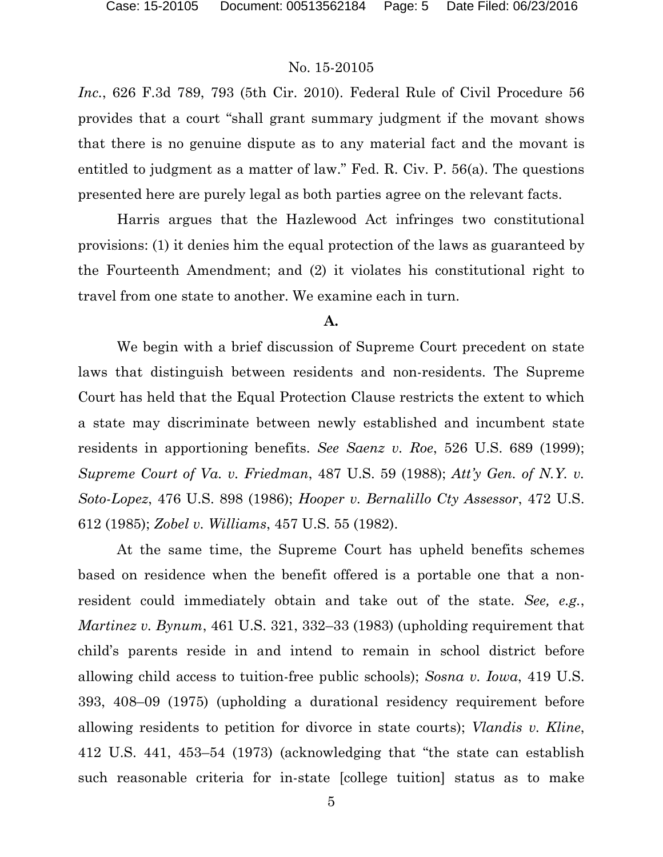*Inc.*, 626 F.3d 789, 793 (5th Cir. 2010). Federal Rule of Civil Procedure 56 provides that a court "shall grant summary judgment if the movant shows that there is no genuine dispute as to any material fact and the movant is entitled to judgment as a matter of law." Fed. R. Civ. P. 56(a). The questions presented here are purely legal as both parties agree on the relevant facts.

Harris argues that the Hazlewood Act infringes two constitutional provisions: (1) it denies him the equal protection of the laws as guaranteed by the Fourteenth Amendment; and (2) it violates his constitutional right to travel from one state to another. We examine each in turn.

#### **A.**

We begin with a brief discussion of Supreme Court precedent on state laws that distinguish between residents and non-residents. The Supreme Court has held that the Equal Protection Clause restricts the extent to which a state may discriminate between newly established and incumbent state residents in apportioning benefits. *See Saenz v. Roe*, 526 U.S. 689 (1999); *Supreme Court of Va. v. Friedman*, 487 U.S. 59 (1988); *Att'y Gen. of N.Y. v. Soto-Lopez*, 476 U.S. 898 (1986); *Hooper v. Bernalillo Cty Assessor*, 472 U.S. 612 (1985); *Zobel v. Williams*, 457 U.S. 55 (1982).

At the same time, the Supreme Court has upheld benefits schemes based on residence when the benefit offered is a portable one that a nonresident could immediately obtain and take out of the state. *See, e.g.*, *Martinez v. Bynum*, 461 U.S. 321, 332–33 (1983) (upholding requirement that child's parents reside in and intend to remain in school district before allowing child access to tuition-free public schools); *Sosna v. Iowa*, 419 U.S. 393, 408–09 (1975) (upholding a durational residency requirement before allowing residents to petition for divorce in state courts); *Vlandis v. Kline*, 412 U.S. 441, 453–54 (1973) (acknowledging that "the state can establish such reasonable criteria for in-state [college tuition] status as to make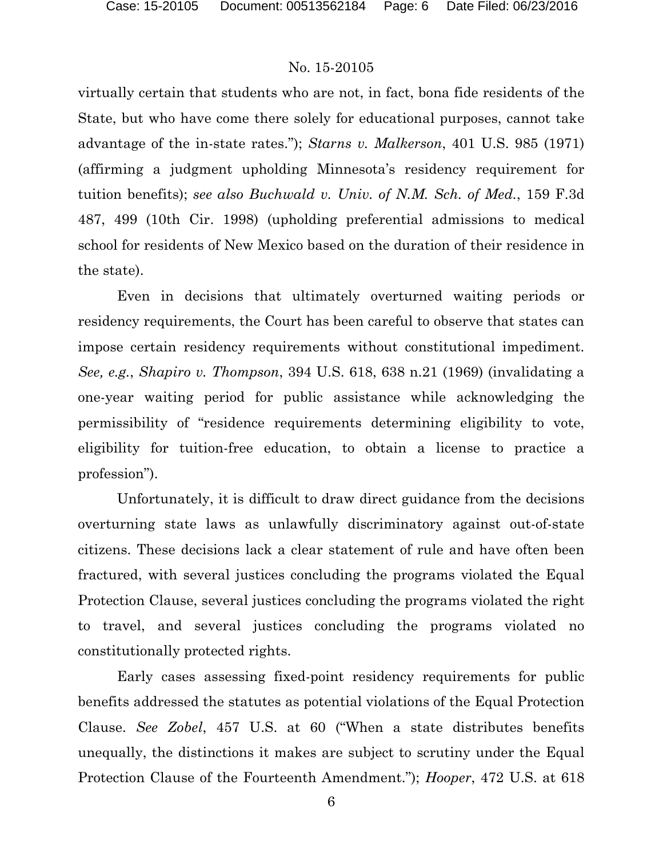virtually certain that students who are not, in fact, bona fide residents of the State, but who have come there solely for educational purposes, cannot take advantage of the in-state rates."); *Starns v. Malkerson*, 401 U.S. 985 (1971) (affirming a judgment upholding Minnesota's residency requirement for tuition benefits); *see also Buchwald v. Univ. of N.M. Sch. of Med.*, 159 F.3d 487, 499 (10th Cir. 1998) (upholding preferential admissions to medical school for residents of New Mexico based on the duration of their residence in the state).

Even in decisions that ultimately overturned waiting periods or residency requirements, the Court has been careful to observe that states can impose certain residency requirements without constitutional impediment. *See, e.g.*, *Shapiro v. Thompson*, 394 U.S. 618, 638 n.21 (1969) (invalidating a one-year waiting period for public assistance while acknowledging the permissibility of "residence requirements determining eligibility to vote, eligibility for tuition-free education, to obtain a license to practice a profession").

Unfortunately, it is difficult to draw direct guidance from the decisions overturning state laws as unlawfully discriminatory against out-of-state citizens. These decisions lack a clear statement of rule and have often been fractured, with several justices concluding the programs violated the Equal Protection Clause, several justices concluding the programs violated the right to travel, and several justices concluding the programs violated no constitutionally protected rights.

Early cases assessing fixed-point residency requirements for public benefits addressed the statutes as potential violations of the Equal Protection Clause. *See Zobel*, 457 U.S. at 60 ("When a state distributes benefits unequally, the distinctions it makes are subject to scrutiny under the Equal Protection Clause of the Fourteenth Amendment."); *Hooper*, 472 U.S. at 618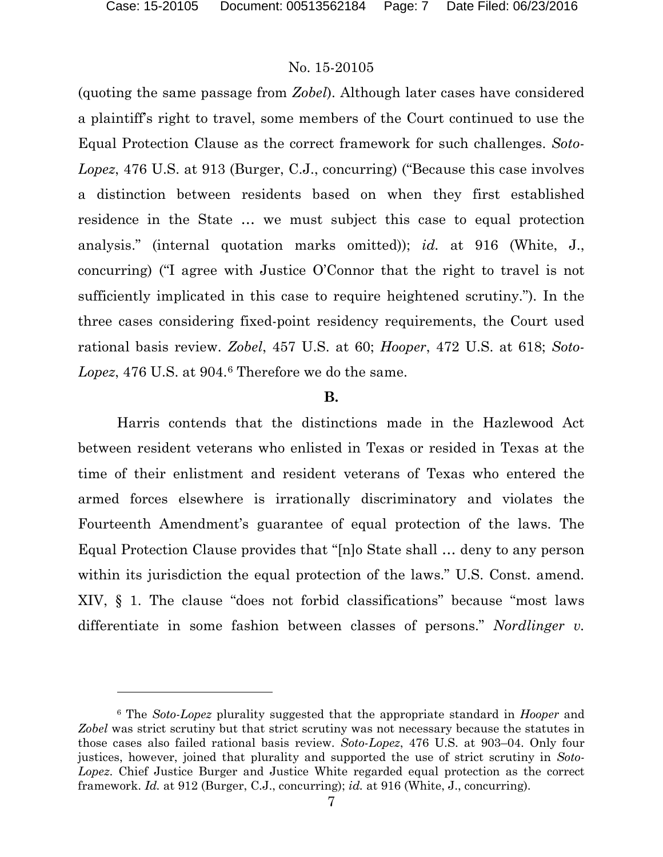### No. 15-20105

(quoting the same passage from *Zobel*). Although later cases have considered a plaintiff's right to travel, some members of the Court continued to use the Equal Protection Clause as the correct framework for such challenges. *Soto-Lopez*, 476 U.S. at 913 (Burger, C.J., concurring) ("Because this case involves a distinction between residents based on when they first established residence in the State … we must subject this case to equal protection analysis." (internal quotation marks omitted)); *id.* at 916 (White, J., concurring) ("I agree with Justice O'Connor that the right to travel is not sufficiently implicated in this case to require heightened scrutiny."). In the three cases considering fixed-point residency requirements, the Court used rational basis review. *Zobel*, 457 U.S. at 60; *Hooper*, 472 U.S. at 618; *Soto-*Lopez, 47[6](#page-6-0) U.S. at 904.<sup>6</sup> Therefore we do the same.

#### **B.**

Harris contends that the distinctions made in the Hazlewood Act between resident veterans who enlisted in Texas or resided in Texas at the time of their enlistment and resident veterans of Texas who entered the armed forces elsewhere is irrationally discriminatory and violates the Fourteenth Amendment's guarantee of equal protection of the laws. The Equal Protection Clause provides that "[n]o State shall … deny to any person within its jurisdiction the equal protection of the laws." U.S. Const. amend. XIV, § 1. The clause "does not forbid classifications" because "most laws differentiate in some fashion between classes of persons." *Nordlinger v.* 

<span id="page-6-0"></span><sup>6</sup> The *Soto-Lopez* plurality suggested that the appropriate standard in *Hooper* and *Zobel* was strict scrutiny but that strict scrutiny was not necessary because the statutes in those cases also failed rational basis review. *Soto-Lopez*, 476 U.S. at 903–04. Only four justices, however, joined that plurality and supported the use of strict scrutiny in *Soto-Lopez*. Chief Justice Burger and Justice White regarded equal protection as the correct framework. *Id.* at 912 (Burger, C.J., concurring); *id.* at 916 (White, J., concurring).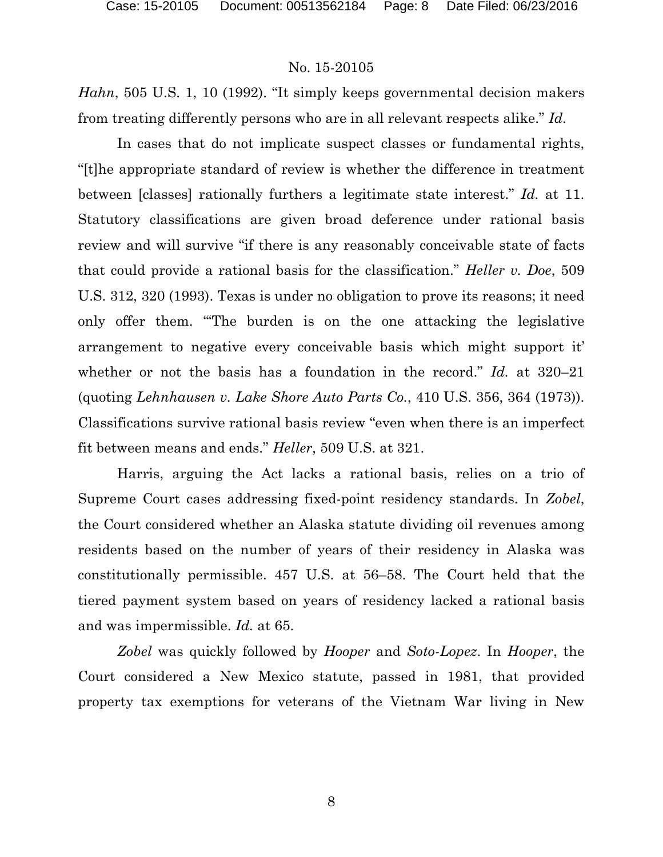*Hahn*, 505 U.S. 1, 10 (1992). "It simply keeps governmental decision makers from treating differently persons who are in all relevant respects alike." *Id.*

In cases that do not implicate suspect classes or fundamental rights, "[t]he appropriate standard of review is whether the difference in treatment between [classes] rationally furthers a legitimate state interest." *Id.* at 11. Statutory classifications are given broad deference under rational basis review and will survive "if there is any reasonably conceivable state of facts that could provide a rational basis for the classification." *Heller v. Doe*, 509 U.S. 312, 320 (1993). Texas is under no obligation to prove its reasons; it need only offer them. "'The burden is on the one attacking the legislative arrangement to negative every conceivable basis which might support it' whether or not the basis has a foundation in the record." *Id.* at 320–21 (quoting *Lehnhausen v. Lake Shore Auto Parts Co.*, 410 U.S. 356, 364 (1973)). Classifications survive rational basis review "even when there is an imperfect fit between means and ends." *Heller*, 509 U.S. at 321.

Harris, arguing the Act lacks a rational basis, relies on a trio of Supreme Court cases addressing fixed-point residency standards. In *Zobel*, the Court considered whether an Alaska statute dividing oil revenues among residents based on the number of years of their residency in Alaska was constitutionally permissible. 457 U.S. at 56–58. The Court held that the tiered payment system based on years of residency lacked a rational basis and was impermissible. *Id.* at 65.

*Zobel* was quickly followed by *Hooper* and *Soto-Lopez*. In *Hooper*, the Court considered a New Mexico statute, passed in 1981, that provided property tax exemptions for veterans of the Vietnam War living in New

8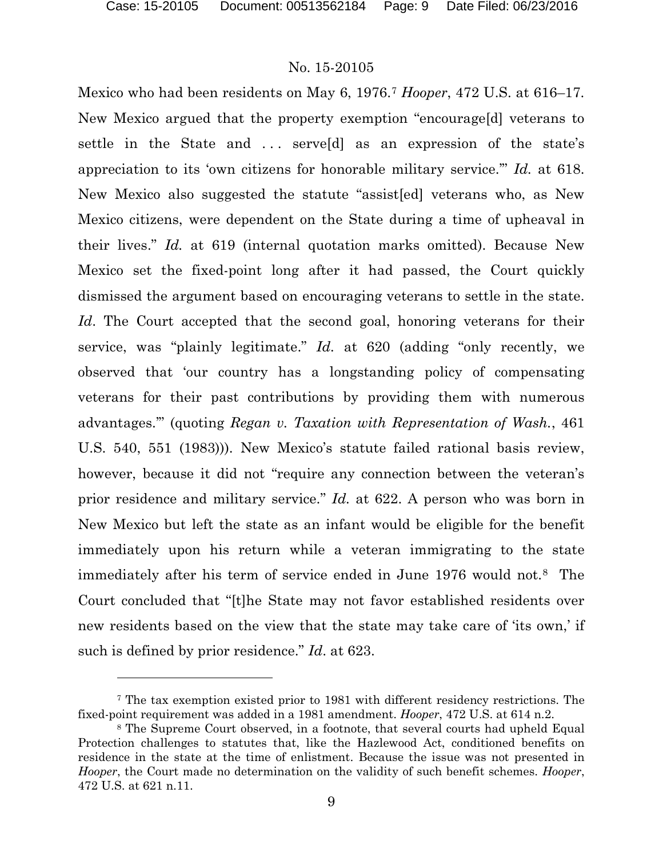#### No. 15-20105

Mexico who had been residents on May 6, 1976.[7](#page-8-0) *Hooper*, 472 U.S. at 616–17. New Mexico argued that the property exemption "encourage[d] veterans to settle in the State and ... serveld as an expression of the state's appreciation to its 'own citizens for honorable military service.'" *Id.* at 618. New Mexico also suggested the statute "assist[ed] veterans who, as New Mexico citizens, were dependent on the State during a time of upheaval in their lives." *Id.* at 619 (internal quotation marks omitted). Because New Mexico set the fixed-point long after it had passed, the Court quickly dismissed the argument based on encouraging veterans to settle in the state. *Id*. The Court accepted that the second goal, honoring veterans for their service, was "plainly legitimate." *Id.* at 620 (adding "only recently, we observed that 'our country has a longstanding policy of compensating veterans for their past contributions by providing them with numerous advantages.'" (quoting *Regan v. Taxation with Representation of Wash.*, 461 U.S. 540, 551 (1983))). New Mexico's statute failed rational basis review, however, because it did not "require any connection between the veteran's prior residence and military service." *Id.* at 622. A person who was born in New Mexico but left the state as an infant would be eligible for the benefit immediately upon his return while a veteran immigrating to the state immediately after his term of service ended in June 1976 would not.[8](#page-8-1) The Court concluded that "[t]he State may not favor established residents over new residents based on the view that the state may take care of 'its own,' if such is defined by prior residence." *Id*. at 623.

<span id="page-8-0"></span><sup>7</sup> The tax exemption existed prior to 1981 with different residency restrictions. The fixed-point requirement was added in a 1981 amendment. *Hooper*, 472 U.S. at 614 n.2.

<span id="page-8-1"></span><sup>8</sup> The Supreme Court observed, in a footnote, that several courts had upheld Equal Protection challenges to statutes that, like the Hazlewood Act, conditioned benefits on residence in the state at the time of enlistment. Because the issue was not presented in *Hooper*, the Court made no determination on the validity of such benefit schemes. *Hooper*, 472 U.S. at 621 n.11.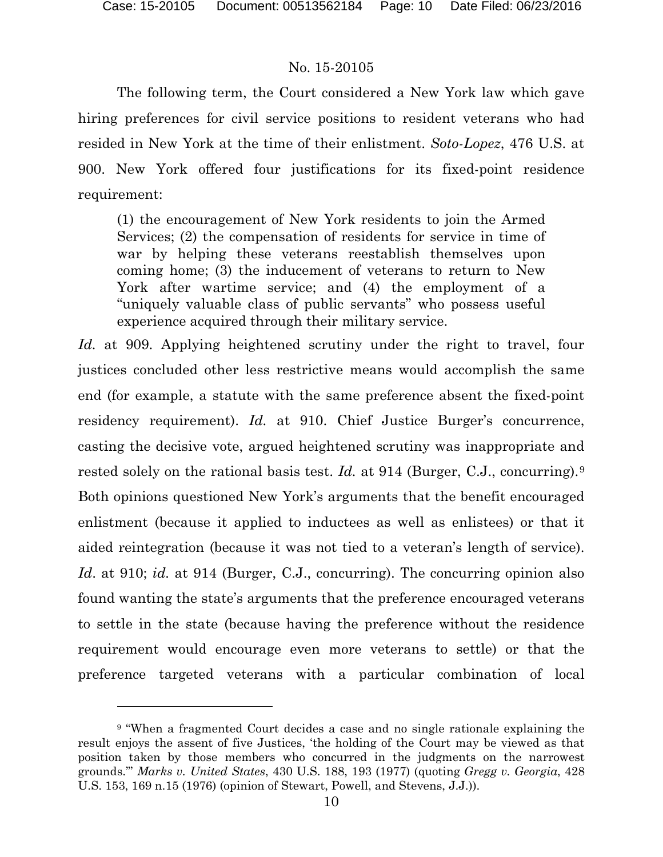l

## No. 15-20105

The following term, the Court considered a New York law which gave hiring preferences for civil service positions to resident veterans who had resided in New York at the time of their enlistment. *Soto-Lopez*, 476 U.S. at 900. New York offered four justifications for its fixed-point residence requirement:

(1) the encouragement of New York residents to join the Armed Services; (2) the compensation of residents for service in time of war by helping these veterans reestablish themselves upon coming home; (3) the inducement of veterans to return to New York after wartime service; and (4) the employment of a "uniquely valuable class of public servants" who possess useful experience acquired through their military service.

*Id.* at 909. Applying heightened scrutiny under the right to travel, four justices concluded other less restrictive means would accomplish the same end (for example, a statute with the same preference absent the fixed-point residency requirement). *Id.* at 910. Chief Justice Burger's concurrence, casting the decisive vote, argued heightened scrutiny was inappropriate and rested solely on the rational basis test. *Id.* at 914 (Burger, C.J., concurring).[9](#page-9-0) Both opinions questioned New York's arguments that the benefit encouraged enlistment (because it applied to inductees as well as enlistees) or that it aided reintegration (because it was not tied to a veteran's length of service). *Id*. at 910; *id.* at 914 (Burger, C.J., concurring). The concurring opinion also found wanting the state's arguments that the preference encouraged veterans to settle in the state (because having the preference without the residence requirement would encourage even more veterans to settle) or that the preference targeted veterans with a particular combination of local

<span id="page-9-0"></span><sup>9</sup> "When a fragmented Court decides a case and no single rationale explaining the result enjoys the assent of five Justices, 'the holding of the Court may be viewed as that position taken by those members who concurred in the judgments on the narrowest grounds.'" *Marks v. United States*, 430 U.S. 188, 193 (1977) (quoting *Gregg v. Georgia*, 428 U.S. 153, 169 n.15 (1976) (opinion of Stewart, Powell, and Stevens, J.J.)).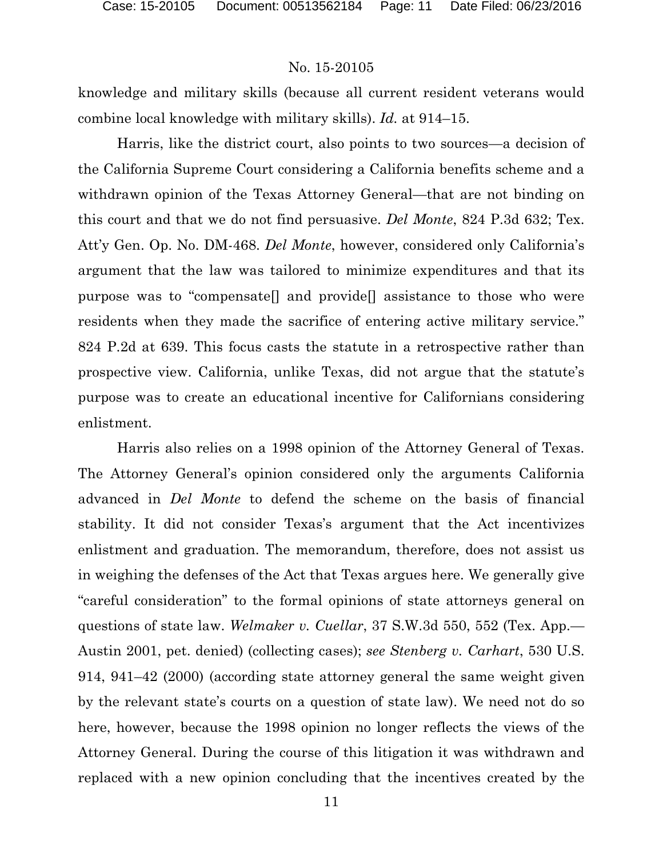knowledge and military skills (because all current resident veterans would combine local knowledge with military skills). *Id.* at 914–15.

Harris, like the district court, also points to two sources—a decision of the California Supreme Court considering a California benefits scheme and a withdrawn opinion of the Texas Attorney General—that are not binding on this court and that we do not find persuasive. *Del Monte*, 824 P.3d 632; Tex. Att'y Gen. Op. No. DM-468. *Del Monte*, however, considered only California's argument that the law was tailored to minimize expenditures and that its purpose was to "compensate[] and provide[] assistance to those who were residents when they made the sacrifice of entering active military service." 824 P.2d at 639. This focus casts the statute in a retrospective rather than prospective view. California, unlike Texas, did not argue that the statute's purpose was to create an educational incentive for Californians considering enlistment.

Harris also relies on a 1998 opinion of the Attorney General of Texas. The Attorney General's opinion considered only the arguments California advanced in *Del Monte* to defend the scheme on the basis of financial stability. It did not consider Texas's argument that the Act incentivizes enlistment and graduation. The memorandum, therefore, does not assist us in weighing the defenses of the Act that Texas argues here. We generally give "careful consideration" to the formal opinions of state attorneys general on questions of state law. *Welmaker v. Cuellar*, 37 S.W.3d 550, 552 (Tex. App.— Austin 2001, pet. denied) (collecting cases); *see Stenberg v. Carhart*, 530 U.S. 914, 941–42 (2000) (according state attorney general the same weight given by the relevant state's courts on a question of state law). We need not do so here, however, because the 1998 opinion no longer reflects the views of the Attorney General. During the course of this litigation it was withdrawn and replaced with a new opinion concluding that the incentives created by the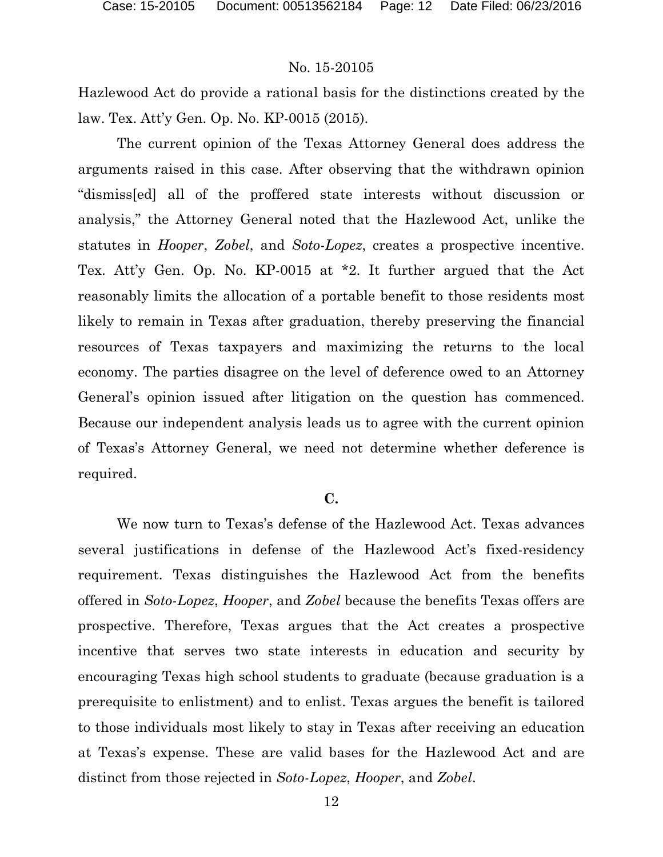Hazlewood Act do provide a rational basis for the distinctions created by the law. Tex. Att'y Gen. Op. No. KP-0015 (2015).

The current opinion of the Texas Attorney General does address the arguments raised in this case. After observing that the withdrawn opinion "dismiss[ed] all of the proffered state interests without discussion or analysis," the Attorney General noted that the Hazlewood Act, unlike the statutes in *Hooper*, *Zobel*, and *Soto-Lopez*, creates a prospective incentive. Tex. Att'y Gen. Op. No. KP-0015 at \*2. It further argued that the Act reasonably limits the allocation of a portable benefit to those residents most likely to remain in Texas after graduation, thereby preserving the financial resources of Texas taxpayers and maximizing the returns to the local economy. The parties disagree on the level of deference owed to an Attorney General's opinion issued after litigation on the question has commenced. Because our independent analysis leads us to agree with the current opinion of Texas's Attorney General, we need not determine whether deference is required.

### **C.**

We now turn to Texas's defense of the Hazlewood Act. Texas advances several justifications in defense of the Hazlewood Act's fixed-residency requirement. Texas distinguishes the Hazlewood Act from the benefits offered in *Soto-Lopez*, *Hooper*, and *Zobel* because the benefits Texas offers are prospective. Therefore, Texas argues that the Act creates a prospective incentive that serves two state interests in education and security by encouraging Texas high school students to graduate (because graduation is a prerequisite to enlistment) and to enlist. Texas argues the benefit is tailored to those individuals most likely to stay in Texas after receiving an education at Texas's expense. These are valid bases for the Hazlewood Act and are distinct from those rejected in *Soto-Lopez*, *Hooper*, and *Zobel*.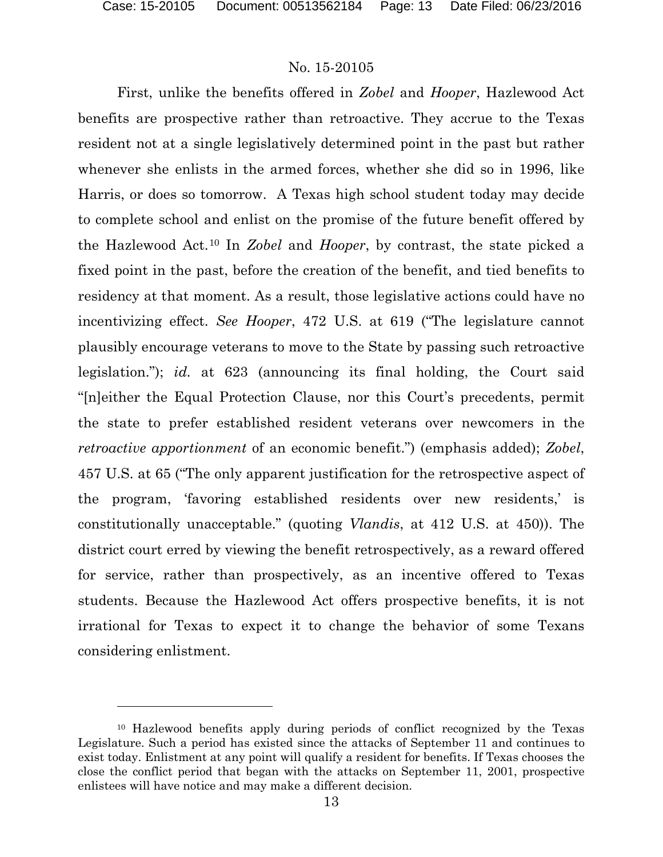l

## No. 15-20105

First, unlike the benefits offered in *Zobel* and *Hooper*, Hazlewood Act benefits are prospective rather than retroactive. They accrue to the Texas resident not at a single legislatively determined point in the past but rather whenever she enlists in the armed forces, whether she did so in 1996, like Harris, or does so tomorrow. A Texas high school student today may decide to complete school and enlist on the promise of the future benefit offered by the Hazlewood Act.[10](#page-12-0) In *Zobel* and *Hooper*, by contrast, the state picked a fixed point in the past, before the creation of the benefit, and tied benefits to residency at that moment. As a result, those legislative actions could have no incentivizing effect. *See Hooper*, 472 U.S. at 619 ("The legislature cannot plausibly encourage veterans to move to the State by passing such retroactive legislation."); *id.* at 623 (announcing its final holding, the Court said "[n]either the Equal Protection Clause, nor this Court's precedents, permit the state to prefer established resident veterans over newcomers in the *retroactive apportionment* of an economic benefit.") (emphasis added); *Zobel*, 457 U.S. at 65 ("The only apparent justification for the retrospective aspect of the program, 'favoring established residents over new residents,' is constitutionally unacceptable." (quoting *Vlandis*, at 412 U.S. at 450)). The district court erred by viewing the benefit retrospectively, as a reward offered for service, rather than prospectively, as an incentive offered to Texas students. Because the Hazlewood Act offers prospective benefits, it is not irrational for Texas to expect it to change the behavior of some Texans considering enlistment.

<span id="page-12-0"></span><sup>10</sup> Hazlewood benefits apply during periods of conflict recognized by the Texas Legislature. Such a period has existed since the attacks of September 11 and continues to exist today. Enlistment at any point will qualify a resident for benefits. If Texas chooses the close the conflict period that began with the attacks on September 11, 2001, prospective enlistees will have notice and may make a different decision.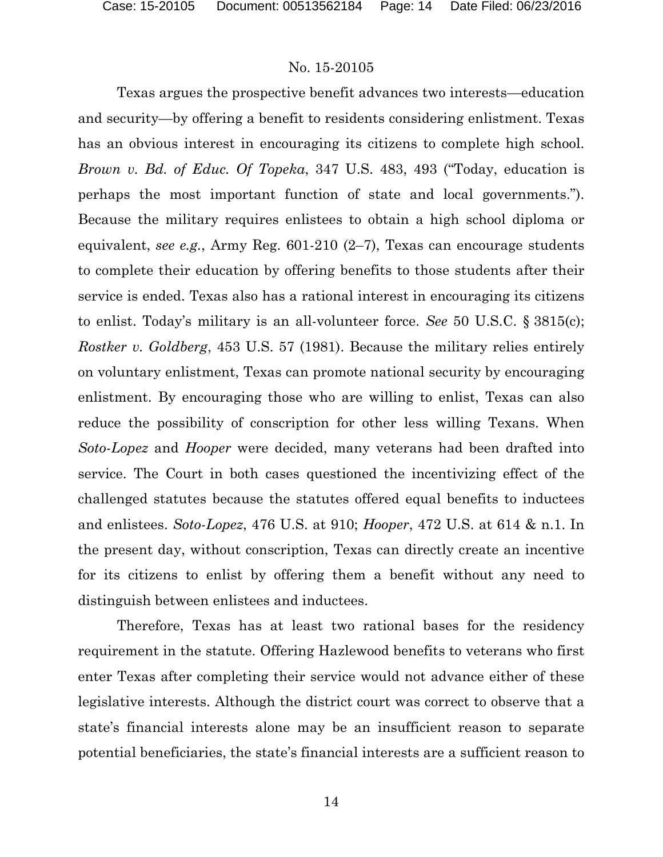Texas argues the prospective benefit advances two interests—education and security—by offering a benefit to residents considering enlistment. Texas has an obvious interest in encouraging its citizens to complete high school. *Brown v. Bd. of Educ. Of Topeka*, 347 U.S. 483, 493 ("Today, education is perhaps the most important function of state and local governments."). Because the military requires enlistees to obtain a high school diploma or equivalent, *see e.g.*, Army Reg. 601-210 (2–7), Texas can encourage students to complete their education by offering benefits to those students after their service is ended. Texas also has a rational interest in encouraging its citizens to enlist. Today's military is an all-volunteer force. *See* 50 U.S.C. § 3815(c); *Rostker v. Goldberg*, 453 U.S. 57 (1981). Because the military relies entirely on voluntary enlistment, Texas can promote national security by encouraging enlistment. By encouraging those who are willing to enlist, Texas can also reduce the possibility of conscription for other less willing Texans. When *Soto-Lopez* and *Hooper* were decided, many veterans had been drafted into service. The Court in both cases questioned the incentivizing effect of the challenged statutes because the statutes offered equal benefits to inductees and enlistees. *Soto-Lopez*, 476 U.S. at 910; *Hooper*, 472 U.S. at 614 & n.1. In the present day, without conscription, Texas can directly create an incentive for its citizens to enlist by offering them a benefit without any need to distinguish between enlistees and inductees.

Therefore, Texas has at least two rational bases for the residency requirement in the statute. Offering Hazlewood benefits to veterans who first enter Texas after completing their service would not advance either of these legislative interests. Although the district court was correct to observe that a state's financial interests alone may be an insufficient reason to separate potential beneficiaries, the state's financial interests are a sufficient reason to

14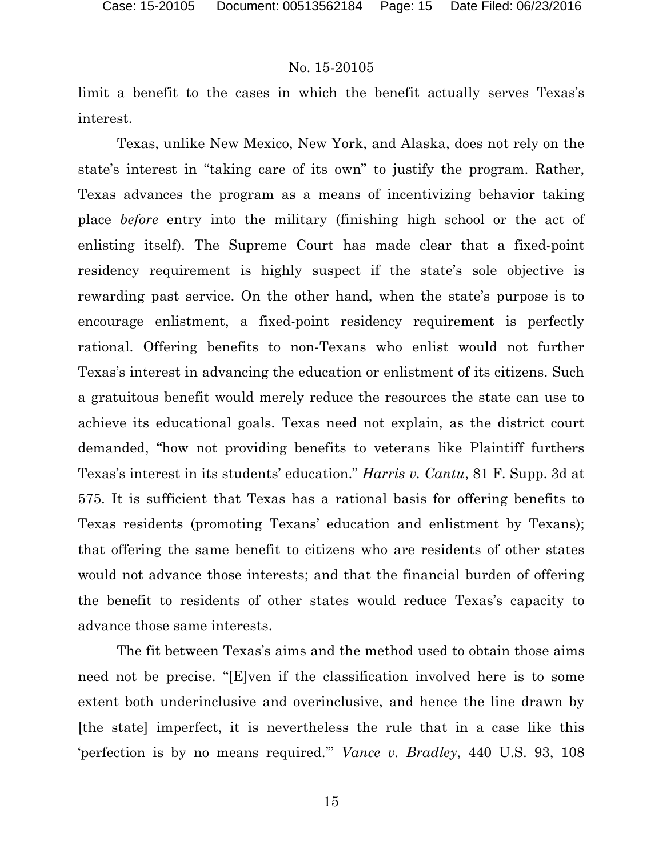limit a benefit to the cases in which the benefit actually serves Texas's interest.

Texas, unlike New Mexico, New York, and Alaska, does not rely on the state's interest in "taking care of its own" to justify the program. Rather, Texas advances the program as a means of incentivizing behavior taking place *before* entry into the military (finishing high school or the act of enlisting itself). The Supreme Court has made clear that a fixed-point residency requirement is highly suspect if the state's sole objective is rewarding past service. On the other hand, when the state's purpose is to encourage enlistment, a fixed-point residency requirement is perfectly rational. Offering benefits to non-Texans who enlist would not further Texas's interest in advancing the education or enlistment of its citizens. Such a gratuitous benefit would merely reduce the resources the state can use to achieve its educational goals. Texas need not explain, as the district court demanded, "how not providing benefits to veterans like Plaintiff furthers Texas's interest in its students' education." *Harris v. Cantu*, 81 F. Supp. 3d at 575. It is sufficient that Texas has a rational basis for offering benefits to Texas residents (promoting Texans' education and enlistment by Texans); that offering the same benefit to citizens who are residents of other states would not advance those interests; and that the financial burden of offering the benefit to residents of other states would reduce Texas's capacity to advance those same interests.

The fit between Texas's aims and the method used to obtain those aims need not be precise. "[E]ven if the classification involved here is to some extent both underinclusive and overinclusive, and hence the line drawn by [the state] imperfect, it is nevertheless the rule that in a case like this 'perfection is by no means required.'" *Vance v. Bradley*, 440 U.S. 93, 108

15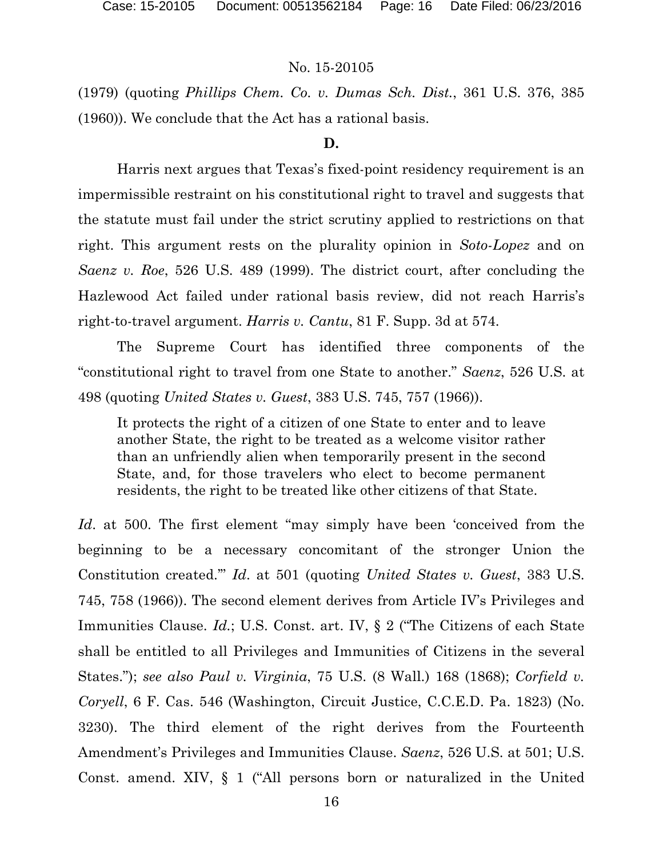(1979) (quoting *Phillips Chem. Co. v. Dumas Sch. Dist.*, 361 U.S. 376, 385 (1960)). We conclude that the Act has a rational basis.

#### **D.**

Harris next argues that Texas's fixed-point residency requirement is an impermissible restraint on his constitutional right to travel and suggests that the statute must fail under the strict scrutiny applied to restrictions on that right. This argument rests on the plurality opinion in *Soto-Lopez* and on *Saenz v. Roe*, 526 U.S. 489 (1999). The district court, after concluding the Hazlewood Act failed under rational basis review, did not reach Harris's right-to-travel argument. *Harris v. Cantu*, 81 F. Supp. 3d at 574.

The Supreme Court has identified three components of the "constitutional right to travel from one State to another." *Saenz*, 526 U.S. at 498 (quoting *United States v. Guest*, 383 U.S. 745, 757 (1966)).

It protects the right of a citizen of one State to enter and to leave another State, the right to be treated as a welcome visitor rather than an unfriendly alien when temporarily present in the second State, and, for those travelers who elect to become permanent residents, the right to be treated like other citizens of that State.

*Id*. at 500. The first element "may simply have been 'conceived from the beginning to be a necessary concomitant of the stronger Union the Constitution created.'" *Id*. at 501 (quoting *United States v. Guest*, 383 U.S. 745, 758 (1966)). The second element derives from Article IV's Privileges and Immunities Clause. *Id.*; U.S. Const. art. IV, § 2 ("The Citizens of each State shall be entitled to all Privileges and Immunities of Citizens in the several States."); *see also Paul v. Virginia*, 75 U.S. (8 Wall.) 168 (1868); *Corfield v. Coryell*, 6 F. Cas. 546 (Washington, Circuit Justice, C.C.E.D. Pa. 1823) (No. 3230). The third element of the right derives from the Fourteenth Amendment's Privileges and Immunities Clause. *Saenz*, 526 U.S. at 501; U.S. Const. amend. XIV, § 1 ("All persons born or naturalized in the United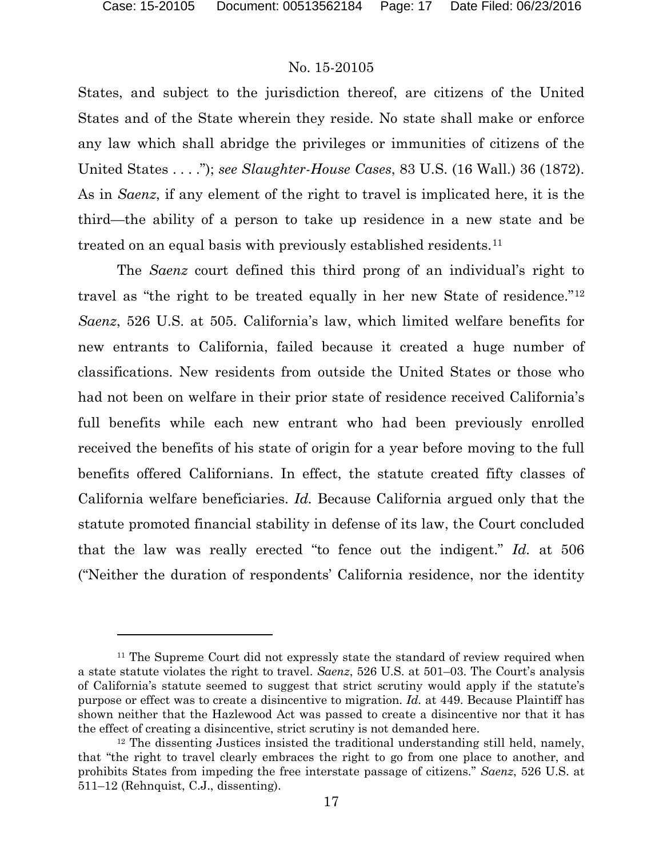### No. 15-20105

States, and subject to the jurisdiction thereof, are citizens of the United States and of the State wherein they reside. No state shall make or enforce any law which shall abridge the privileges or immunities of citizens of the United States . . . ."); *see Slaughter-House Cases*, 83 U.S. (16 Wall.) 36 (1872). As in *Saenz*, if any element of the right to travel is implicated here, it is the third—the ability of a person to take up residence in a new state and be treated on an equal basis with previously established residents.[11](#page-16-0)

The *Saenz* court defined this third prong of an individual's right to travel as "the right to be treated equally in her new State of residence."[12](#page-16-1) *Saenz*, 526 U.S. at 505. California's law, which limited welfare benefits for new entrants to California, failed because it created a huge number of classifications. New residents from outside the United States or those who had not been on welfare in their prior state of residence received California's full benefits while each new entrant who had been previously enrolled received the benefits of his state of origin for a year before moving to the full benefits offered Californians. In effect, the statute created fifty classes of California welfare beneficiaries. *Id.* Because California argued only that the statute promoted financial stability in defense of its law, the Court concluded that the law was really erected "to fence out the indigent." *Id.* at 506 ("Neither the duration of respondents' California residence, nor the identity

<span id="page-16-0"></span><sup>&</sup>lt;sup>11</sup> The Supreme Court did not expressly state the standard of review required when a state statute violates the right to travel. *Saenz*, 526 U.S. at 501–03. The Court's analysis of California's statute seemed to suggest that strict scrutiny would apply if the statute's purpose or effect was to create a disincentive to migration. *Id.* at 449. Because Plaintiff has shown neither that the Hazlewood Act was passed to create a disincentive nor that it has the effect of creating a disincentive, strict scrutiny is not demanded here.

<span id="page-16-1"></span><sup>&</sup>lt;sup>12</sup> The dissenting Justices insisted the traditional understanding still held, namely, that "the right to travel clearly embraces the right to go from one place to another, and prohibits States from impeding the free interstate passage of citizens." *Saenz*, 526 U.S. at 511–12 (Rehnquist, C.J., dissenting).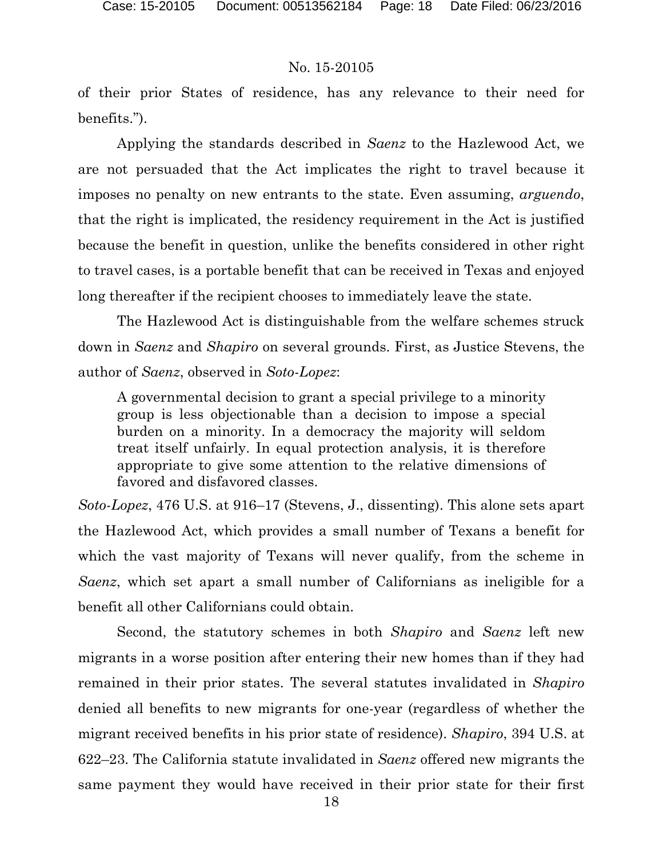of their prior States of residence, has any relevance to their need for benefits.").

Applying the standards described in *Saenz* to the Hazlewood Act, we are not persuaded that the Act implicates the right to travel because it imposes no penalty on new entrants to the state. Even assuming, *arguendo*, that the right is implicated, the residency requirement in the Act is justified because the benefit in question, unlike the benefits considered in other right to travel cases, is a portable benefit that can be received in Texas and enjoyed long thereafter if the recipient chooses to immediately leave the state.

The Hazlewood Act is distinguishable from the welfare schemes struck down in *Saenz* and *Shapiro* on several grounds. First, as Justice Stevens, the author of *Saenz*, observed in *Soto-Lopez*:

A governmental decision to grant a special privilege to a minority group is less objectionable than a decision to impose a special burden on a minority. In a democracy the majority will seldom treat itself unfairly. In equal protection analysis, it is therefore appropriate to give some attention to the relative dimensions of favored and disfavored classes.

*Soto-Lopez*, 476 U.S. at 916–17 (Stevens, J., dissenting). This alone sets apart the Hazlewood Act, which provides a small number of Texans a benefit for which the vast majority of Texans will never qualify, from the scheme in *Saenz*, which set apart a small number of Californians as ineligible for a benefit all other Californians could obtain.

Second, the statutory schemes in both *Shapiro* and *Saenz* left new migrants in a worse position after entering their new homes than if they had remained in their prior states. The several statutes invalidated in *Shapiro* denied all benefits to new migrants for one-year (regardless of whether the migrant received benefits in his prior state of residence). *Shapiro*, 394 U.S. at 622–23. The California statute invalidated in *Saenz* offered new migrants the same payment they would have received in their prior state for their first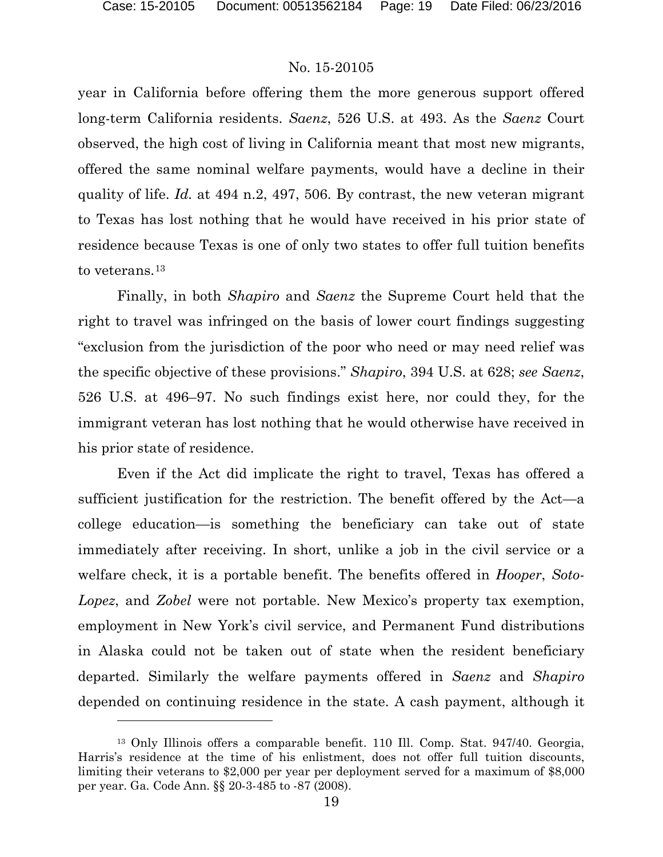### No. 15-20105

year in California before offering them the more generous support offered long-term California residents. *Saenz*, 526 U.S. at 493. As the *Saenz* Court observed, the high cost of living in California meant that most new migrants, offered the same nominal welfare payments, would have a decline in their quality of life. *Id.* at 494 n.2, 497, 506. By contrast, the new veteran migrant to Texas has lost nothing that he would have received in his prior state of residence because Texas is one of only two states to offer full tuition benefits to veterans.<sup>[13](#page-18-0)</sup>

Finally, in both *Shapiro* and *Saenz* the Supreme Court held that the right to travel was infringed on the basis of lower court findings suggesting "exclusion from the jurisdiction of the poor who need or may need relief was the specific objective of these provisions." *Shapiro*, 394 U.S. at 628; *see Saenz*, 526 U.S. at 496–97. No such findings exist here, nor could they, for the immigrant veteran has lost nothing that he would otherwise have received in his prior state of residence.

Even if the Act did implicate the right to travel, Texas has offered a sufficient justification for the restriction. The benefit offered by the Act—a college education—is something the beneficiary can take out of state immediately after receiving. In short, unlike a job in the civil service or a welfare check, it is a portable benefit. The benefits offered in *Hooper*, *Soto-Lopez*, and *Zobel* were not portable. New Mexico's property tax exemption, employment in New York's civil service, and Permanent Fund distributions in Alaska could not be taken out of state when the resident beneficiary departed. Similarly the welfare payments offered in *Saenz* and *Shapiro* depended on continuing residence in the state. A cash payment, although it

<span id="page-18-0"></span><sup>13</sup> Only Illinois offers a comparable benefit. 110 Ill. Comp. Stat. 947/40. Georgia, Harris's residence at the time of his enlistment, does not offer full tuition discounts, limiting their veterans to \$2,000 per year per deployment served for a maximum of \$8,000 per year. Ga. Code Ann. §§ 20-3-485 to -87 (2008).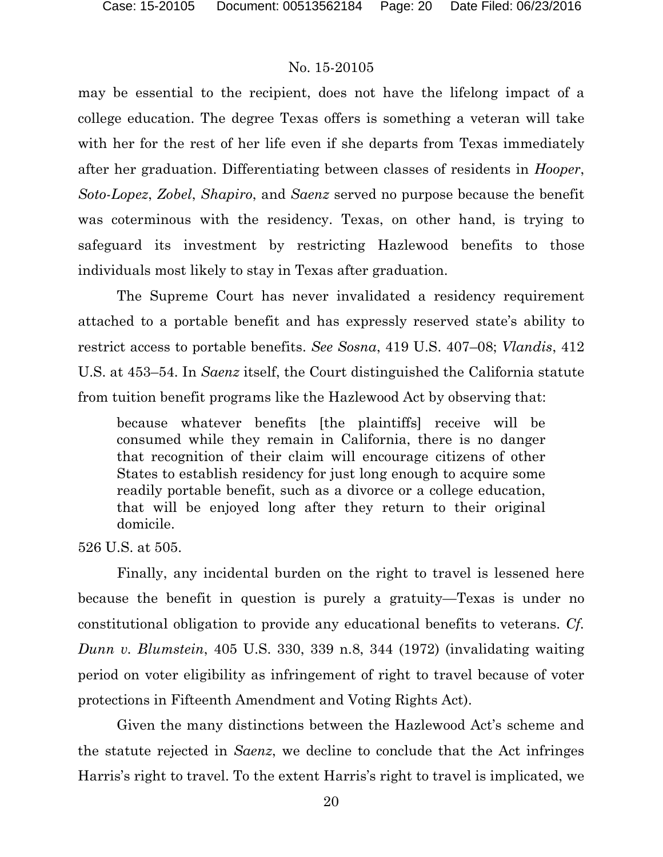may be essential to the recipient, does not have the lifelong impact of a college education. The degree Texas offers is something a veteran will take with her for the rest of her life even if she departs from Texas immediately after her graduation. Differentiating between classes of residents in *Hooper*, *Soto-Lopez*, *Zobel*, *Shapiro*, and *Saenz* served no purpose because the benefit was coterminous with the residency. Texas, on other hand, is trying to safeguard its investment by restricting Hazlewood benefits to those individuals most likely to stay in Texas after graduation.

The Supreme Court has never invalidated a residency requirement attached to a portable benefit and has expressly reserved state's ability to restrict access to portable benefits. *See Sosna*, 419 U.S. 407–08; *Vlandis*, 412 U.S. at 453–54. In *Saenz* itself, the Court distinguished the California statute from tuition benefit programs like the Hazlewood Act by observing that:

because whatever benefits [the plaintiffs] receive will be consumed while they remain in California, there is no danger that recognition of their claim will encourage citizens of other States to establish residency for just long enough to acquire some readily portable benefit, such as a divorce or a college education, that will be enjoyed long after they return to their original domicile.

526 U.S. at 505.

Finally, any incidental burden on the right to travel is lessened here because the benefit in question is purely a gratuity—Texas is under no constitutional obligation to provide any educational benefits to veterans. *Cf. Dunn v. Blumstein*, 405 U.S. 330, 339 n.8, 344 (1972) (invalidating waiting period on voter eligibility as infringement of right to travel because of voter protections in Fifteenth Amendment and Voting Rights Act).

Given the many distinctions between the Hazlewood Act's scheme and the statute rejected in *Saenz*, we decline to conclude that the Act infringes Harris's right to travel. To the extent Harris's right to travel is implicated, we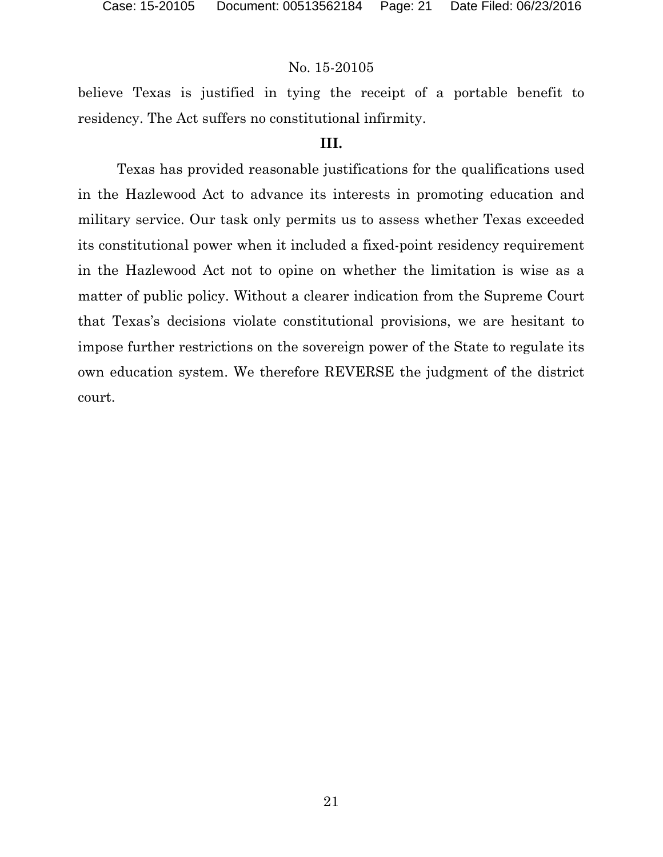believe Texas is justified in tying the receipt of a portable benefit to residency. The Act suffers no constitutional infirmity.

### **III.**

Texas has provided reasonable justifications for the qualifications used in the Hazlewood Act to advance its interests in promoting education and military service. Our task only permits us to assess whether Texas exceeded its constitutional power when it included a fixed-point residency requirement in the Hazlewood Act not to opine on whether the limitation is wise as a matter of public policy. Without a clearer indication from the Supreme Court that Texas's decisions violate constitutional provisions, we are hesitant to impose further restrictions on the sovereign power of the State to regulate its own education system. We therefore REVERSE the judgment of the district court.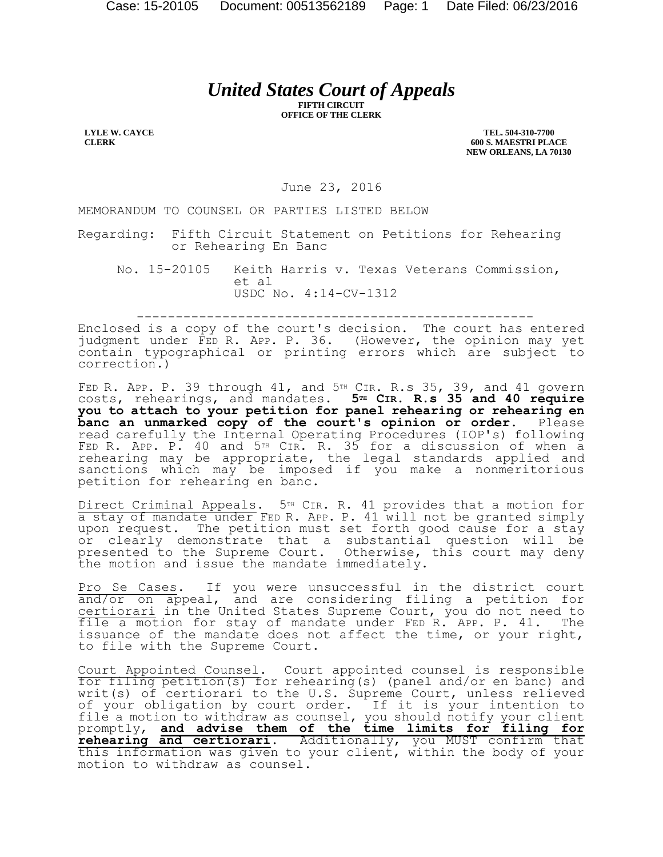# *United States Court of Appeals*

**FIFTH CIRCUIT OFFICE OF THE CLERK**

**LYLE W. CAYCE CLERK**

**TEL. 504-310-7700 600 S. MAESTRI PLACE NEW ORLEANS, LA 70130**

June 23, 2016

MEMORANDUM TO COUNSEL OR PARTIES LISTED BELOW

Regarding: Fifth Circuit Statement on Petitions for Rehearing or Rehearing En Banc

No. 15-20105 Keith Harris v. Texas Veterans Commission, et al USDC No. 4:14-CV-1312

---------------------------------------------------

Enclosed is a copy of the court's decision. The court has entered judgment under FED R. APP. P. 36. (However, the opinion may yet contain typographical or printing errors which are subject to correction.)

FED R. APP. P. 39 through  $41$ , and  $5<sup>TH</sup>$  CIR. R.s 35, 39, and  $41$  govern costs, rehearings, and mandates. **5TH CIR. R.s 35 and 40 require you to attach to your petition for panel rehearing or rehearing en banc an unmarked copy of the court's opinion or order.** Please read carefully the Internal Operating Procedures (IOP's) following FED R. APP. P. 40 and 5TH CIR. R. 35 for a discussion of when a rehearing may be appropriate, the legal standards applied and sanctions which may be imposed if you make a nonmeritorious petition for rehearing en banc.

Direct Criminal Appeals. 5<sup>TH</sup> CIR. R. 41 provides that a motion for a stay of mandate under FED R. APP. P. 41 will not be granted simply upon request. The petition must set forth good cause for a stay or clearly demonstrate that a substantial question will be presented to the Supreme Court. Otherwise, this court may deny the motion and issue the mandate immediately.

Pro Se Cases. If you were unsuccessful in the district court and/or on appeal, and are considering filing a petition for certiorari in the United States Supreme Court, you do not need to file a motion for stay of mandate under FED R. APP. P. 41. The issuance of the mandate does not affect the time, or your right, to file with the Supreme Court.

Court Appointed Counsel. Court appointed counsel is responsible for filing petition(s) for rehearing(s) (panel and/or en banc) and writ(s) of certiorari to the U.S. Supreme Court, unless relieved of your obligation by court order. If it is your intention to file a motion to withdraw as counsel, you should notify your client promptly, **and advise them of the time limits for filing for rehearing and certiorari**. Additionally, you MUST confirm that this information was given to your client, within the body of your motion to withdraw as counsel.